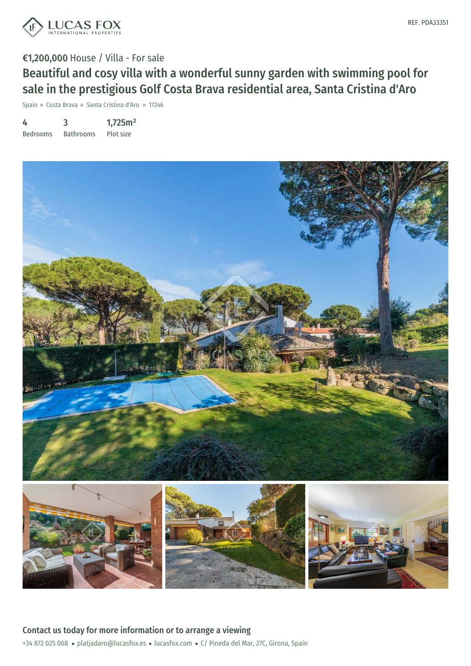



## €1,200,000 House / Villa - For sale Beautiful and cosy villa with a wonderful sunny garden with swimming pool for sale in the prestigious Golf Costa Brava residential area, Santa Cristina d'Aro

Spain » Costa Brava » Santa Cristina d'Aro » 17246

4 Bedrooms 3 Bathrooms 1,725m² Plot size



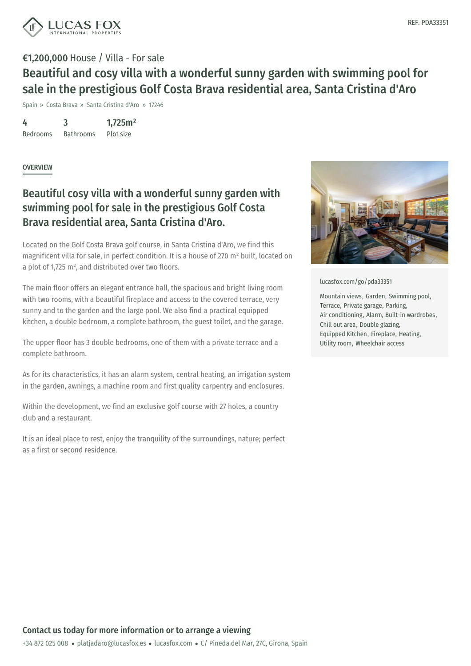

## €1,200,000 House / Villa - For sale Beautiful and cosy villa with a wonderful sunny garden with swimming pool for sale in the prestigious Golf Costa Brava residential area, Santa Cristina d'Aro

Spain » Costa Brava » Santa Cristina d'Aro » 17246

4 Bedrooms 3 Bathrooms 1,725m² Plot size

**OVERVIEW** 

## Beautiful cosy villa with a wonderful sunny garden with swimming pool for sale in the prestigious Golf Costa Brava residential area, Santa Cristina d'Aro.

Located on the Golf Costa Brava golf course, in Santa Cristina d'Aro, we find this magnificent villa for sale, in perfect condition. It is a house of 270 m² built, located on a plot of 1,725 m², and distributed over two floors.

The main floor offers an elegant entrance hall, the spacious and bright living room with two rooms, with a beautiful fireplace and access to the covered terrace, very sunny and to the garden and the large pool. We also find a practical equipped kitchen, a double bedroom, a complete bathroom, the guest toilet, and the garage.

The upper floor has 3 double bedrooms, one of them with a private terrace and a complete bathroom.

As for its characteristics, it has an alarm system, central heating, an irrigation system in the garden, awnings, a machine room and first quality carpentry and enclosures.

Within the development, we find an exclusive golf course with 27 holes, a country club and a restaurant.

It is an ideal place to rest, enjoy the tranquility of the surroundings, nature; perfect as a first or second residence.



[lucasfox.com/go/pda33351](https://www.lucasfox.com/go/pda33351)

Mountain views, Garden, Swimming pool, Terrace, Private garage, Parking, Air conditioning, Alarm, Built-in wardrobes, Chill out area, Double glazing, Equipped Kitchen, Fireplace, Heating, Utility room, Wheelchair access